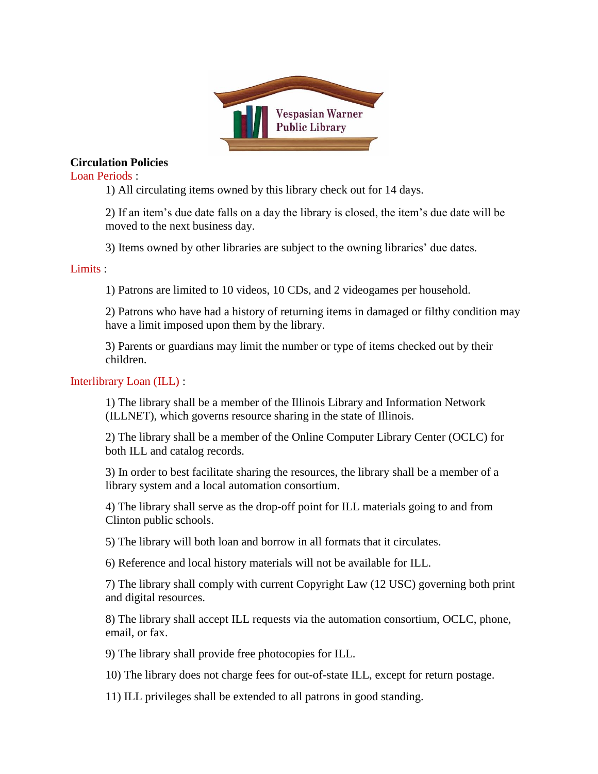

## **Circulation Policies**

Loan Periods :

1) All circulating items owned by this library check out for 14 days.

2) If an item's due date falls on a day the library is closed, the item's due date will be moved to the next business day.

3) Items owned by other libraries are subject to the owning libraries' due dates.

## Limits :

1) Patrons are limited to 10 videos, 10 CDs, and 2 videogames per household.

2) Patrons who have had a history of returning items in damaged or filthy condition may have a limit imposed upon them by the library.

3) Parents or guardians may limit the number or type of items checked out by their children.

## Interlibrary Loan (ILL) :

1) The library shall be a member of the Illinois Library and Information Network (ILLNET), which governs resource sharing in the state of Illinois.

2) The library shall be a member of the Online Computer Library Center (OCLC) for both ILL and catalog records.

3) In order to best facilitate sharing the resources, the library shall be a member of a library system and a local automation consortium.

4) The library shall serve as the drop-off point for ILL materials going to and from Clinton public schools.

5) The library will both loan and borrow in all formats that it circulates.

6) Reference and local history materials will not be available for ILL.

7) The library shall comply with current Copyright Law (12 USC) governing both print and digital resources.

8) The library shall accept ILL requests via the automation consortium, OCLC, phone, email, or fax.

9) The library shall provide free photocopies for ILL.

10) The library does not charge fees for out-of-state ILL, except for return postage.

11) ILL privileges shall be extended to all patrons in good standing.